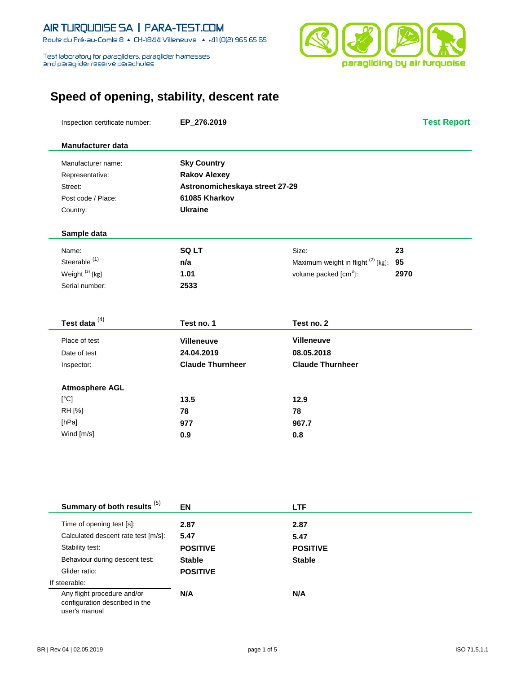#### AIR TURQUOISE SA | PARA-TEST.COM Route du Pré-au-Comte 8 & CH-1844 Villeneuve | 4 +41 (0)21 965 65 65

Test laboratory for paragliders, paraglider harnesses<br>and paraglider reserve parachutes



# **Speed of opening, stability, descent rate**

| Manufacturer name:                                                             | <b>Sky Country</b>             |                                       |      |
|--------------------------------------------------------------------------------|--------------------------------|---------------------------------------|------|
| Representative:                                                                | <b>Rakov Alexey</b>            |                                       |      |
| Street:                                                                        | Astronomicheskaya street 27-29 |                                       |      |
| Post code / Place:                                                             | 61085 Kharkov                  |                                       |      |
| Country:                                                                       | <b>Ukraine</b>                 |                                       |      |
| Sample data                                                                    |                                |                                       |      |
| Name:                                                                          | SQ LT                          | Size:                                 | 23   |
| Steerable <sup>(1)</sup>                                                       | n/a                            | Maximum weight in flight (2) [kg]: 95 |      |
| Weight <sup>(3)</sup> [kg]                                                     | 1.01                           | volume packed [cm <sup>3</sup> ]:     | 2970 |
| Serial number:                                                                 | 2533                           |                                       |      |
|                                                                                |                                |                                       |      |
| Test data <sup>(4)</sup>                                                       | Test no. 1                     | Test no. 2                            |      |
| Place of test                                                                  | <b>Villeneuve</b>              | <b>Villeneuve</b>                     |      |
| Date of test                                                                   | 24.04.2019                     | 08.05.2018                            |      |
| Inspector:                                                                     | <b>Claude Thurnheer</b>        | <b>Claude Thurnheer</b>               |      |
| <b>Atmosphere AGL</b>                                                          |                                |                                       |      |
| [°C]                                                                           | 13.5                           | 12.9                                  |      |
| RH [%]                                                                         | 78                             | 78                                    |      |
| [hPa]                                                                          | 977                            | 967.7                                 |      |
| Wind [m/s]                                                                     | 0.9                            | 0.8                                   |      |
|                                                                                |                                |                                       |      |
|                                                                                |                                |                                       |      |
| Summary of both results <sup>(5)</sup>                                         | EN                             | <b>LTF</b>                            |      |
| Time of opening test [s]:                                                      | 2.87                           | 2.87                                  |      |
| Calculated descent rate test [m/s]:                                            | 5.47                           | 5.47                                  |      |
| Stability test:                                                                | <b>POSITIVE</b>                | <b>POSITIVE</b>                       |      |
| Behaviour during descent test:                                                 | <b>Stable</b>                  | <b>Stable</b>                         |      |
| Glider ratio:                                                                  | <b>POSITIVE</b>                |                                       |      |
| If steerable:                                                                  |                                |                                       |      |
| Any flight procedure and/or<br>configuration described in the<br>user's manual | N/A                            | N/A                                   |      |

Inspection certificate number: **EP\_276.2019 Test Report**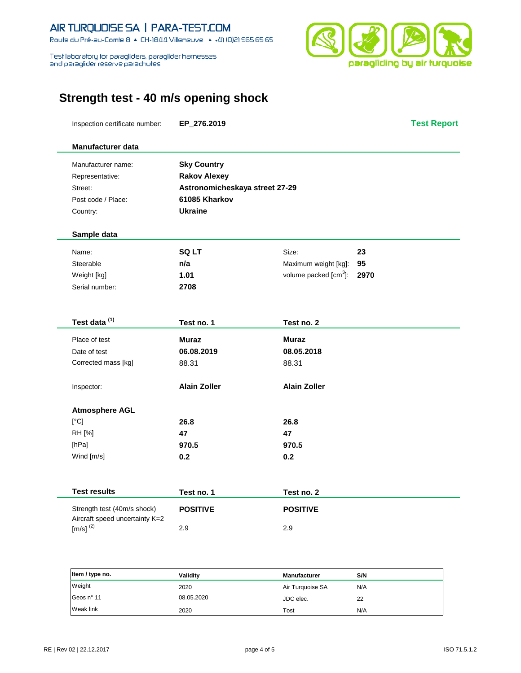#### AIR TURQUOISE SA | PARA-TEST.COM Route du Pré-au-Comte 8 & CH-1844 Villeneuve | 4 +41 (0)21 965 65 65

Test laboratory for paragliders, paraglider harnesses<br>and paraglider reserve parachutes

Î.

j.



## **Strength test - 40 m/s opening shock**

|                          | Inspection certificate number: | EP_276.2019                    |                                   |      | <b>Test Report</b> |
|--------------------------|--------------------------------|--------------------------------|-----------------------------------|------|--------------------|
| Manufacturer data        |                                |                                |                                   |      |                    |
| Manufacturer name:       |                                | <b>Sky Country</b>             |                                   |      |                    |
| Representative:          |                                | <b>Rakov Alexey</b>            |                                   |      |                    |
| Street:                  |                                | Astronomicheskaya street 27-29 |                                   |      |                    |
| Post code / Place:       |                                | 61085 Kharkov                  |                                   |      |                    |
| Country:                 |                                | <b>Ukraine</b>                 |                                   |      |                    |
| Sample data              |                                |                                |                                   |      |                    |
| Name:                    |                                | <b>SQLT</b>                    | Size:                             | 23   |                    |
| Steerable                |                                | n/a                            | Maximum weight [kg]:              | 95   |                    |
| Weight [kg]              |                                | 1.01                           | volume packed [cm <sup>3</sup> ]: | 2970 |                    |
| Serial number:           |                                | 2708                           |                                   |      |                    |
|                          |                                |                                |                                   |      |                    |
| Test data <sup>(1)</sup> |                                | Test no. 1                     | Test no. 2                        |      |                    |
| Place of test            |                                | Muraz                          | Muraz                             |      |                    |
| Date of test             |                                | 06.08.2019                     | 08.05.2018                        |      |                    |
| Corrected mass [kg]      |                                | 88.31                          | 88.31                             |      |                    |
| Inspector:               |                                | <b>Alain Zoller</b>            | <b>Alain Zoller</b>               |      |                    |
| <b>Atmosphere AGL</b>    |                                |                                |                                   |      |                    |
| [°C]                     |                                | 26.8                           | 26.8                              |      |                    |
| RH [%]                   |                                | 47                             | 47                                |      |                    |
| [hPa]                    |                                | 970.5                          | 970.5                             |      |                    |
| Wind [m/s]               |                                | 0.2                            | 0.2                               |      |                    |
|                          |                                |                                |                                   |      |                    |
| <b>Test results</b>      |                                | Test no. 1                     | Test no. 2                        |      |                    |
|                          | Strength test (40m/s shock)    | <b>POSITIVE</b>                | <b>POSITIVE</b>                   |      |                    |
| $[m/s]^{(2)}$            | Aircraft speed uncertainty K=2 | 2.9                            | 2.9                               |      |                    |
|                          |                                |                                |                                   |      |                    |
|                          |                                |                                |                                   |      |                    |

| Item / type no. | Validitv   | <b>Manufacturer</b> | S/N |
|-----------------|------------|---------------------|-----|
| Weight          | 2020       | Air Turquoise SA    | N/A |
| Geos n° 11      | 08.05.2020 | JDC elec.           | 22  |
| Weak link       | 2020       | Tost                | N/A |

Í.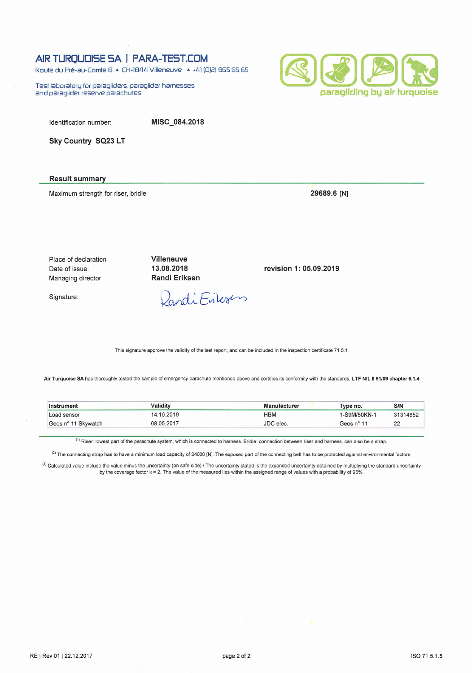### AIR TURQUOISE SA | PARA-TEST.COM

Route du Pré-au-Comte 8 & CH-1844 Villeneuve | 4 +41 (0)21 965 65 65

Test laboratory for paragliders, paraglider harnesses and paraglider reserve parachutes



Identification number:

MISC\_084.2018

Sky Country SQ23 LT

#### **Result summary**

Maximum strength for riser, bridle

29689.6 [N]

revision 1: 05.09.2019

Place of declaration Date of issue: Managing director

Signature:

Dandi Erilesens

Villeneuve

13.08.2018

**Randi Eriksen** 

This signature approve the validity of the test report, and can be included in the inspection certificate 71.5.1

Air Turquoise SA has thoroughly tested the sample of emergency parachute mentioned above and certifies its conformity with the standards: LTF NfL II 91/09 chapter 6.1.4

| *rument<br>Inst             | Validitv   | .nufacturar   | Type no.    | S/N      |
|-----------------------------|------------|---------------|-------------|----------|
| Load sensor                 | 1.201C     | нвм           | -S9M/50KN-1 | 31314652 |
| Skywatch<br>Geos<br>$-0.44$ | 08.05.2017 | IDC.<br>elec. | Geos n° 11  | າາ<br>∠∠ |

<sup>(1)</sup> Riser: lowest part of the parachute system, which is connected to harness. Bridle: connection between riser and harness, can also be a strap.

(2) The connecting strap has to have a minimum load capacity of 24000 [N]. The exposed part of the connecting belt has to be protected against environmental factors.

(3) Calculated value include the value minus the uncertainty (on safe side) / The uncertainty stated is the expanded uncertainty obtained by multiplying the standard uncertainty by the coverage factor k = 2. The value of the measured lies within the assigned range of values with a probability of 95%.